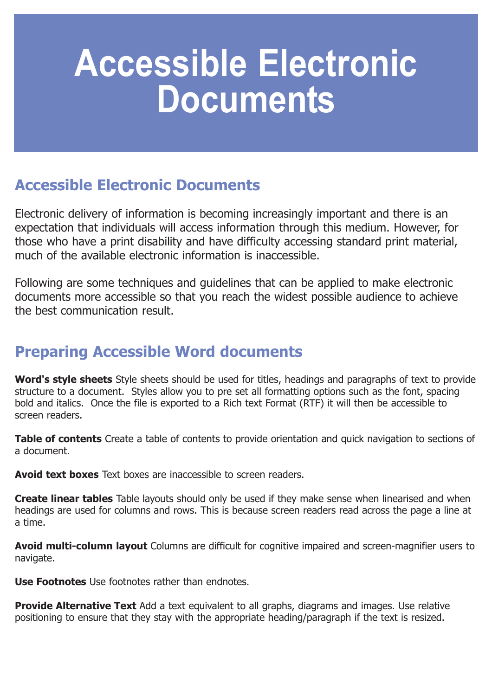# **Accessible Electronic Documents**

## **Accessible Electronic Documents**

Electronic delivery of information is becoming increasingly important and there is an expectation that individuals will access information through this medium. However, for those who have a print disability and have difficulty accessing standard print material, much of the available electronic information is inaccessible.

Following are some techniques and guidelines that can be applied to make electronic documents more accessible so that you reach the widest possible audience to achieve the best communication result.

## **Preparing Accessible Word documents**

**Word's style sheets** Style sheets should be used for titles, headings and paragraphs of text to provide structure to a document. Styles allow you to pre set all formatting options such as the font, spacing bold and italics. Once the file is exported to a Rich text Format (RTF) it will then be accessible to screen readers.

**Table of contents** Create a table of contents to provide orientation and quick navigation to sections of a document.

**Avoid text boxes** Text boxes are inaccessible to screen readers.

**Create linear tables** Table layouts should only be used if they make sense when linearised and when headings are used for columns and rows. This is because screen readers read across the page a line at a time.

**Avoid multi-column layout** Columns are difficult for cognitive impaired and screen-magnifier users to navigate.

**Use Footnotes** Use footnotes rather than endnotes.

**Provide Alternative Text** Add a text equivalent to all graphs, diagrams and images. Use relative positioning to ensure that they stay with the appropriate heading/paragraph if the text is resized.